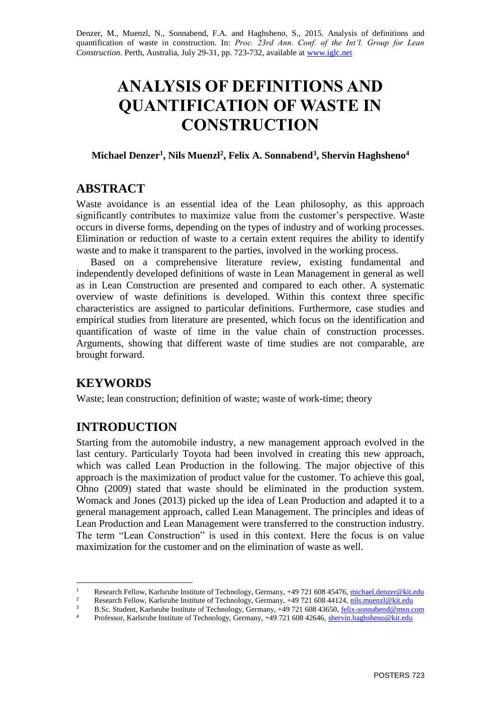Denzer, M., Muenzl, N., Sonnabend, F.A. and Haghsheno, S., 2015. Analysis of definitions and quantification of waste in construction. In: *Proc. 23rd Ann. Conf. of the Int'l. Group for Lean Construction*. Perth, Australia, July 29-31, pp. 723-732, available at [www.iglc.net](http://www.iglc.net/)

# **ANALYSIS OF DEFINITIONS AND QUANTIFICATION OF WASTE IN CONSTRUCTION**

### **Michael Denzer<sup>1</sup> , Nils Muenzl<sup>2</sup> , Felix A. Sonnabend<sup>3</sup> , Shervin Haghsheno<sup>4</sup>**

# **ABSTRACT**

Waste avoidance is an essential idea of the Lean philosophy, as this approach significantly contributes to maximize value from the customer's perspective. Waste occurs in diverse forms, depending on the types of industry and of working processes. Elimination or reduction of waste to a certain extent requires the ability to identify waste and to make it transparent to the parties, involved in the working process.

Based on a comprehensive literature review, existing fundamental and independently developed definitions of waste in Lean Management in general as well as in Lean Construction are presented and compared to each other. A systematic overview of waste definitions is developed. Within this context three specific characteristics are assigned to particular definitions. Furthermore, case studies and empirical studies from literature are presented, which focus on the identification and quantification of waste of time in the value chain of construction processes. Arguments, showing that different waste of time studies are not comparable, are brought forward.

# **KEYWORDS**

Waste; lean construction; definition of waste; waste of work-time; theory

# **INTRODUCTION**

Starting from the automobile industry, a new management approach evolved in the last century. Particularly Toyota had been involved in creating this new approach, which was called Lean Production in the following. The major objective of this approach is the maximization of product value for the customer. To achieve this goal, Ohno (2009) stated that waste should be eliminated in the production system. Womack and Jones (2013) picked up the idea of Lean Production and adapted it to a general management approach, called Lean Management. The principles and ideas of Lean Production and Lean Management were transferred to the construction industry. The term "Lean Construction" is used in this context. Here the focus is on value maximization for the customer and on the elimination of waste as well.

<sup>1</sup> Research Fellow, Karlsruhe Institute of Technology, Germany, +49 721 608 45476, <u>michael.denzer@kit.edu</u><br>2 Research Fellow, Karlsruhe Institute of Technology, Germany, +49 721 608 44124, pils muenzl@kit.edu

<sup>&</sup>lt;sup>2</sup> Research Fellow, Karlsruhe Institute of Technology, Germany, +49 721 608 44124,  $\frac{n\text{1s.muenz}}{n\text{1s.muenz}}$  Research Fellow, Karlsruhe Institute of Technology, Germany, +49 721 608 44250, felix samples of Technology

<sup>3</sup> B.Sc. Student, Karlsruhe Institute of Technology, Germany, +49 721 608 43650, felix-sonnabend@msn.com

Professor, Karlsruhe Institute of Technology, Germany, +49 721 608 42646, shervin.haghsheno@kit.edu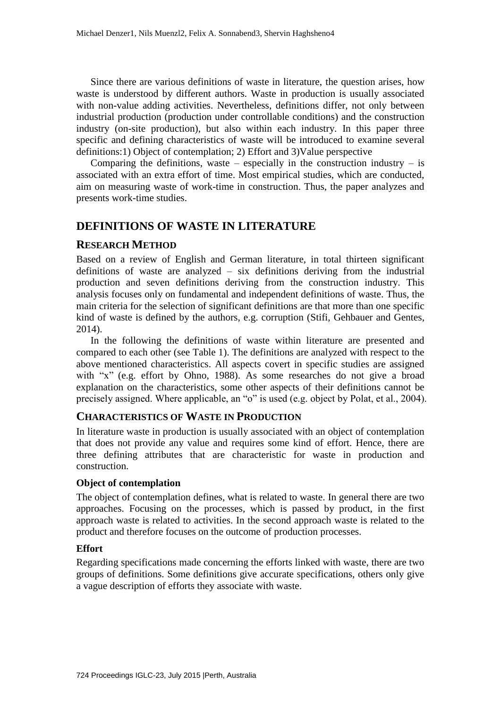Since there are various definitions of waste in literature, the question arises, how waste is understood by different authors. Waste in production is usually associated with non-value adding activities. Nevertheless, definitions differ, not only between industrial production (production under controllable conditions) and the construction industry (on-site production), but also within each industry. In this paper three [specific](http://www.dict.cc/englisch-deutsch/definientia.html) and defining characteristics of waste will be introduced to examine several definitions:1) Object of contemplation; 2) Effort and 3)Value perspective

Comparing the definitions, waste – especially in the construction industry – is associated with an extra effort of time. Most empirical studies, which are conducted, aim on measuring waste of work-time in construction. Thus, the paper analyzes and presents work-time studies.

### **DEFINITIONS OF WASTE IN LITERATURE**

#### **RESEARCH METHOD**

Based on a review of English and German literature, in total thirteen significant definitions of waste are analyzed – six definitions deriving from the industrial production and seven definitions deriving from the construction industry. This analysis focuses only on fundamental and independent definitions of waste. Thus, the main criteria for the selection of significant definitions are that more than one specific kind of waste is defined by the authors, e.g. corruption (Stifi, Gehbauer and Gentes, 2014).

In the following the definitions of waste within literature are presented and compared to each other (see Table 1). The definitions are analyzed with respect to the above mentioned characteristics. All aspects covert in specific studies are assigned with "x" (e.g. effort by Ohno, 1988). As some researches do not give a broad explanation on the characteristics, some other aspects of their definitions cannot be precisely assigned. Where applicable, an "o" is used (e.g. object by Polat, et al., 2004).

#### **CHARACTERISTICS OF WASTE IN PRODUCTION**

In literature waste in production is usually associated with an object of contemplation that does not provide any value and requires some kind of effort. Hence, there are three defining attributes that are characteristic for waste in production and construction.

#### **Object of contemplation**

The object of contemplation defines, what is related to waste. In general there are two approaches. Focusing on the processes, which is passed by product, in the first approach waste is related to activities. In the second approach waste is related to the product and therefore focuses on the outcome of production processes.

#### **Effort**

Regarding specifications made concerning the efforts linked with waste, there are two groups of definitions. Some definitions give accurate specifications, others only give a vague description of efforts they associate with waste.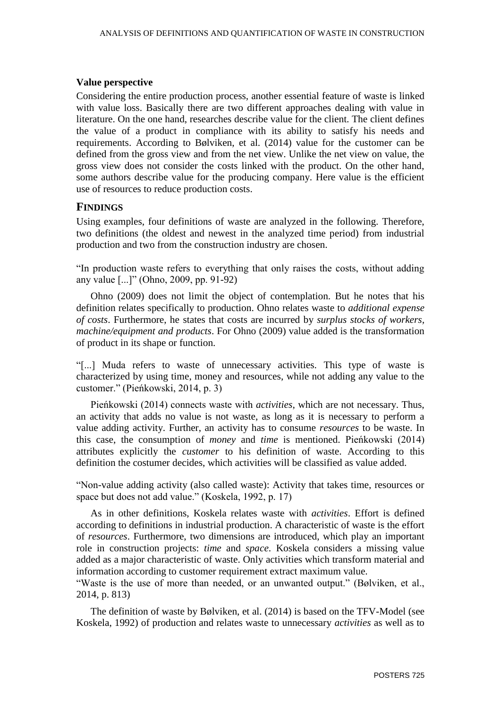#### **Value perspective**

Considering the entire production process, another essential feature of waste is linked with value loss. Basically there are two different approaches dealing with value in literature. On the one hand, researches describe value for the client. The client defines the value of a product in compliance with its ability to satisfy his needs and requirements. According to Bølviken, et al. (2014) value for the customer can be defined from the gross view and from the net view. Unlike the net view on value, the gross view does not consider the costs linked with the product. On the other hand, some authors describe value for the producing company. Here value is the efficient use of resources to reduce production costs.

#### **FINDINGS**

Using examples, four definitions of waste are analyzed in the following. Therefore, two definitions (the oldest and newest in the analyzed time period) from industrial production and two from the construction industry are chosen.

"In production waste refers to everything that only raises the costs, without adding any value [...]" (Ohno, 2009, pp. 91-92)

Ohno (2009) does not limit the object of contemplation. But he notes that his definition relates specifically to production. Ohno relates waste to *additional expense of costs*. Furthermore, he states that costs are incurred by *surplus stocks of workers, machine/equipment and products*. For Ohno (2009) value added is the transformation of product in its shape or function.

"[...] Muda refers to waste of unnecessary activities. This type of waste is characterized by using time, money and resources, while not adding any value to the customer." (Pieńkowski, 2014, p. 3)

Pieńkowski (2014) connects waste with *activities*, which are not necessary. Thus, an activity that adds no value is not waste, as long as it is necessary to perform a value adding activity. Further, an activity has to consume *resources* to be waste. In this case, the consumption of *money* and *time* is mentioned. Pieńkowski (2014) attributes explicitly the *customer* to his definition of waste. According to this definition the costumer decides, which activities will be classified as value added.

"Non-value adding activity (also called waste): Activity that takes time, resources or space but does not add value." (Koskela, 1992, p. 17)

As in other definitions, Koskela relates waste with *activities*. Effort is defined according to definitions in industrial production. A characteristic of waste is the effort of *resources*. Furthermore, two dimensions are introduced, which play an important role in construction projects: *time* and *space*. Koskela considers a missing value added as a major characteristic of waste. Only activities which transform material and information according to customer requirement extract maximum value.

"Waste is the use of more than needed, or an unwanted output." (Bølviken, et al., 2014, p. 813)

The definition of waste by Bølviken, et al. (2014) is based on the TFV-Model (see Koskela, 1992) of production and relates waste to unnecessary *activities* as well as to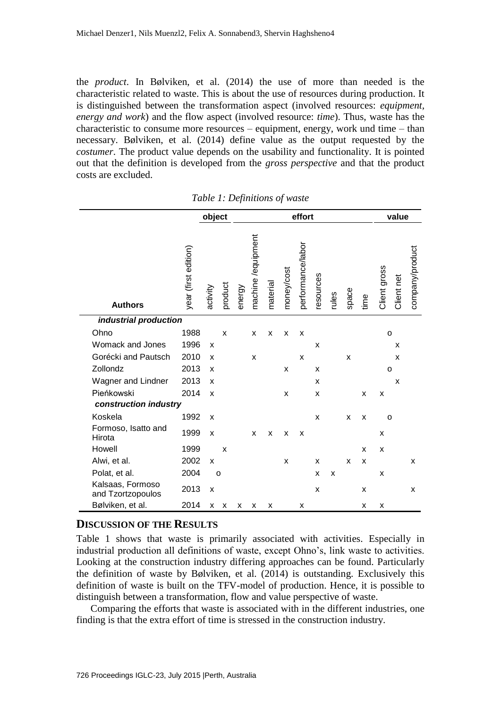the *product*. In Bølviken, et al. (2014) the use of more than needed is the characteristic related to waste. This is about the use of resources during production. It is distinguished between the transformation aspect (involved resources: *equipment, energy and work*) and the flow aspect (involved resource: *time*). Thus, waste has the characteristic to consume more resources – equipment, energy, work und time – than necessary. Bølviken, et al. (2014) define value as the output requested by the *costumer*. The product value depends on the usability and functionality. It is pointed out that the definition is developed from the *gross perspective* and that the product costs are excluded.

|                                       |                      | object   |                           | effort |                    |          |            |                           | value        |       |                           |      |              |              |                 |
|---------------------------------------|----------------------|----------|---------------------------|--------|--------------------|----------|------------|---------------------------|--------------|-------|---------------------------|------|--------------|--------------|-----------------|
| <b>Authors</b>                        | year (first edition) | activity | product                   | energy | machine /equipment | material | money/cost | performance/labor         | resources    | rules | space                     | time | Client gross | Client net   | company/product |
| industrial production                 |                      |          |                           |        |                    |          |            |                           |              |       |                           |      |              |              |                 |
| Ohno                                  | 1988                 |          | $\boldsymbol{\mathsf{x}}$ |        | X                  | X        | X          | X                         |              |       |                           |      |              | $\mathsf{o}$ |                 |
| <b>Womack and Jones</b>               | 1996                 | X        |                           |        |                    |          |            |                           | $\mathsf{x}$ |       |                           |      |              | X            |                 |
| Gorécki and Pautsch                   | 2010                 | X        |                           |        | X                  |          |            | $\boldsymbol{\mathsf{x}}$ |              |       | $\boldsymbol{\mathsf{x}}$ |      |              | X            |                 |
| Zollondz                              | 2013                 | X        |                           |        |                    |          | X          |                           | X            |       |                           |      |              | o            |                 |
| Wagner and Lindner                    | 2013                 | X        |                           |        |                    |          |            |                           | X            |       |                           |      |              | X            |                 |
| Pieńkowski                            | 2014                 | X        |                           |        |                    |          | X          |                           | X            |       |                           | X    | x            |              |                 |
| construction industry                 |                      |          |                           |        |                    |          |            |                           |              |       |                           |      |              |              |                 |
| Koskela                               | 1992                 | X        |                           |        |                    |          |            |                           | X            |       | X                         | X    |              | o            |                 |
| Formoso, Isatto and<br>Hirota         | 1999                 | X        |                           |        | X                  | X        | X          | X                         |              |       |                           |      | x            |              |                 |
| Howell                                | 1999                 |          | X                         |        |                    |          |            |                           |              |       |                           | X    | x            |              |                 |
| Alwi, et al.                          | 2002                 | X        |                           |        |                    |          | X          |                           | X            |       | X                         | X    |              |              | X               |
| Polat, et al.                         | 2004                 |          | $\circ$                   |        |                    |          |            |                           | X            | X     |                           |      | X            |              |                 |
| Kalsaas, Formoso<br>and Tzortzopoulos | 2013                 | X        |                           |        |                    |          |            |                           | X            |       |                           | X    |              |              | X               |
| Bølviken, et al.                      | 2014                 | x        | X                         | X      | X                  | X        |            | X                         |              |       |                           | X    | x            |              |                 |

*Table 1: Definitions of waste*

#### **DISCUSSION OF THE RESULTS**

Table 1 shows that waste is primarily associated with activities. Especially in industrial production all definitions of waste, except Ohno's, link waste to activities. Looking at the construction industry differing approaches can be found. Particularly the definition of waste by Bølviken, et al. (2014) is outstanding. Exclusively this definition of waste is built on the TFV-model of production. Hence, it is possible to distinguish between a transformation, flow and value perspective of waste.

Comparing the efforts that waste is associated with in the different industries, one finding is that the extra effort of time is stressed in the construction industry.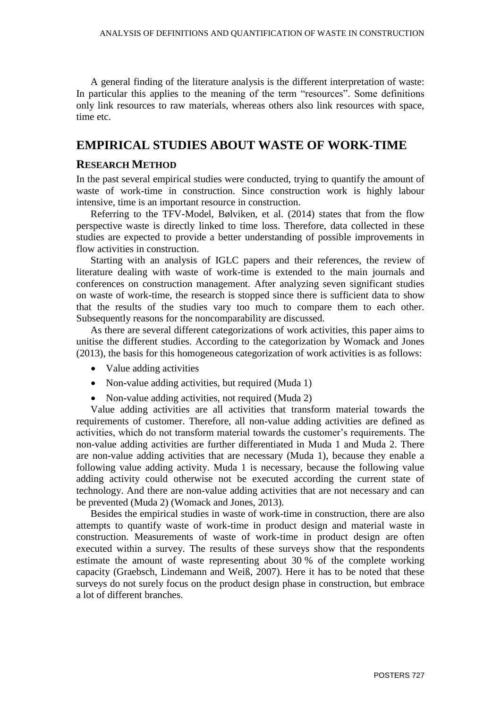A general finding of the literature analysis is the different interpretation of waste: In particular this applies to the meaning of the term "resources". Some definitions only link resources to raw materials, whereas others also link resources with space, time etc.

### **EMPIRICAL STUDIES ABOUT WASTE OF WORK-TIME**

#### **RESEARCH METHOD**

In the past several empirical studies were conducted, trying to quantify the amount of waste of work-time in construction. Since construction work is highly labour intensive, time is an important resource in construction.

Referring to the TFV-Model, Bølviken, et al. (2014) states that from the flow perspective waste is directly linked to time loss. Therefore, data collected in these studies are expected to provide a better understanding of possible improvements in flow activities in construction.

Starting with an analysis of IGLC papers and their references, the review of literature dealing with waste of work-time is extended to the main journals and conferences on construction management. After analyzing seven significant studies on waste of work-time, the research is stopped since there is sufficient data to show that the results of the studies vary too much to compare them to each other. Subsequently reasons for the noncomparability are discussed.

As there are several different categorizations of work activities, this paper aims to unitise the different studies. According to the categorization by Womack and Jones (2013), the basis for this homogeneous categorization of work activities is as follows:

- Value adding activities
- Non-value adding activities, but required (Muda 1)
- Non-value adding activities, not required (Muda 2)

Value adding activities are all activities that transform material towards the requirements of customer. Therefore, all non-value adding activities are defined as activities, which do not transform material towards the customer's requirements. The non-value adding activities are further differentiated in Muda 1 and Muda 2. There are non-value adding activities that are necessary (Muda 1), because they enable a following value adding activity. Muda 1 is necessary, because the following value adding activity could otherwise not be executed according the current state of technology. And there are non-value adding activities that are not necessary and can be prevented (Muda 2) (Womack and Jones, 2013).

Besides the empirical studies in waste of work-time in construction, there are also attempts to quantify waste of work-time in product design and material waste in construction. Measurements of waste of work-time in product design are often executed within a survey. The results of these surveys show that the respondents estimate the amount of waste representing about 30 % of the complete working capacity (Graebsch, Lindemann and Weiß, 2007). Here it has to be noted that these surveys do not surely focus on the product design phase in construction, but embrace a lot of different branches.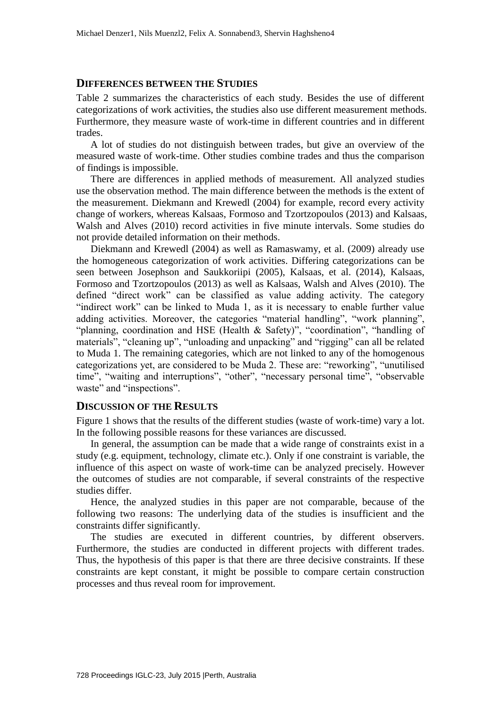#### **DIFFERENCES BETWEEN THE STUDIES**

Table 2 summarizes the characteristics of each study. Besides the use of different categorizations of work activities, the studies also use different measurement methods. Furthermore, they measure waste of work-time in different countries and in different trades.

A lot of studies do not distinguish between trades, but give an overview of the measured waste of work-time. Other studies combine trades and thus the comparison of findings is impossible.

There are differences in applied methods of measurement. All analyzed studies use the observation method. The main difference between the methods is the extent of the measurement. Diekmann and Krewedl (2004) for example, record every activity change of workers, whereas Kalsaas, Formoso and Tzortzopoulos (2013) and Kalsaas, Walsh and Alves (2010) record activities in five minute intervals. Some studies do not provide detailed information on their methods.

Diekmann and Krewedl (2004) as well as Ramaswamy, et al. (2009) already use the homogeneous categorization of work activities. Differing categorizations can be seen between Josephson and Saukkoriipi (2005), Kalsaas, et al. (2014), Kalsaas, Formoso and Tzortzopoulos (2013) as well as Kalsaas, Walsh and Alves (2010). The defined "direct work" can be classified as value adding activity. The category "indirect work" can be linked to Muda 1, as it is necessary to enable further value adding activities. Moreover, the categories "material handling", "work planning", "planning, coordination and HSE (Health & Safety)", "coordination", "handling of materials", "cleaning up", "unloading and unpacking" and "rigging" can all be related to Muda 1. The remaining categories, which are not linked to any of the homogenous categorizations yet, are considered to be Muda 2. These are: "reworking", "unutilised time", "waiting and interruptions", "other", "necessary personal time", "observable waste" and "inspections".

#### **DISCUSSION OF THE RESULTS**

Figure 1 shows that the results of the different studies (waste of work-time) vary a lot. In the following possible reasons for these variances are discussed.

In general, the assumption can be made that a wide range of constraints exist in a study (e.g. equipment, technology, climate etc.). Only if one constraint is variable, the influence of this aspect on waste of work-time can be analyzed precisely. However the outcomes of studies are not comparable, if several constraints of the respective studies differ.

Hence, the analyzed studies in this paper are not comparable, because of the following two reasons: The underlying data of the studies is insufficient and the constraints differ significantly.

The studies are executed in different countries, by different observers. Furthermore, the studies are conducted in different projects with different trades. Thus, the hypothesis of this paper is that there are three decisive constraints. If these constraints are kept constant, it might be possible to compare certain construction processes and thus reveal room for improvement.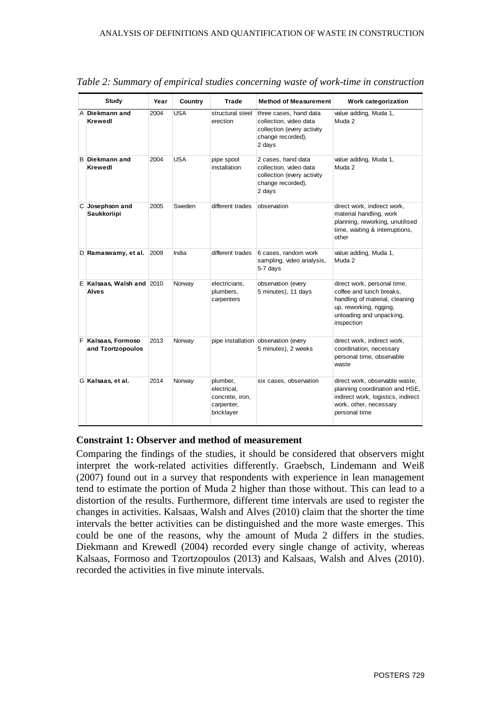| <b>Study</b>                              | Year<br><b>Country</b><br>Trade |            |                                                                        | <b>Method of Measurement</b>                                                                                  | Work categorization                                                                                                                                            |  |  |
|-------------------------------------------|---------------------------------|------------|------------------------------------------------------------------------|---------------------------------------------------------------------------------------------------------------|----------------------------------------------------------------------------------------------------------------------------------------------------------------|--|--|
| A Diekmann and<br><b>Krewedl</b>          | 2004                            | <b>USA</b> | structural steel<br>erection                                           | three cases, hand data<br>collection, video data<br>collection (every activity<br>change recorded),<br>2 days | value adding, Muda 1,<br>Muda 2                                                                                                                                |  |  |
| <b>B</b> Diekmann and<br><b>Krewedl</b>   | 2004                            | <b>USA</b> | pipe spool<br>installation                                             | 2 cases, hand data<br>collection, video data<br>collection (every activity<br>change recorded),<br>2 days     | value adding, Muda 1,<br>Muda 2                                                                                                                                |  |  |
| C Josephson and<br><b>Saukkoriipi</b>     | 2005                            | Sweden     | different trades                                                       | observation                                                                                                   | direct work, indirect work,<br>material handling, work<br>planning, reworking, unutilised<br>time, waiting & interruptions,<br>other                           |  |  |
| D Ramaswamy, et al. 2009                  |                                 | India      | different trades                                                       | 6 cases, random work<br>sampling, video analysis,<br>5-7 days                                                 | value adding, Muda 1,<br>Muda 2                                                                                                                                |  |  |
| E Kalsaas, Walsh and 2010<br><b>Alves</b> |                                 | Norway     | electricians,<br>plumbers,<br>carpenters                               | observation (every<br>5 minutes), 11 days                                                                     | direct work, personal time,<br>coffee and lunch breaks,<br>handling of material, cleaning<br>up, reworking, rigging,<br>unloading and unpacking,<br>inspection |  |  |
| F Kalsaas, Formoso<br>and Tzortzopoulos   | 2013                            | Norway     |                                                                        | pipe installation observation (every<br>5 minutes), 2 weeks                                                   | direct work, indirect work,<br>coordination, necessary<br>personal time, observable<br>waste                                                                   |  |  |
| G Kalsaas, et al.                         | 2014                            | Norway     | plumber,<br>electrical,<br>concrete, iron,<br>carpenter,<br>bricklayer | six cases, observation                                                                                        | direct work, observable waste,<br>planning coordination and HSE,<br>indirect work, logistics, indirect<br>work, other, necessary<br>personal time              |  |  |

*Table 2: Summary of empirical studies concerning waste of work-time in construction*

#### **Constraint 1: Observer and method of measurement**

Comparing the findings of the studies, it should be considered that observers might interpret the work-related activities differently. Graebsch, Lindemann and Weiß (2007) found out in a survey that respondents with experience in lean management tend to estimate the portion of Muda 2 higher than those without. This can lead to a distortion of the results. Furthermore, different time intervals are used to register the changes in activities. Kalsaas, Walsh and Alves (2010) claim that the shorter the time intervals the better activities can be distinguished and the more waste emerges. This could be one of the reasons, why the amount of Muda 2 differs in the studies. Diekmann and Krewedl (2004) recorded every single change of activity, whereas Kalsaas, Formoso and Tzortzopoulos (2013) and Kalsaas, Walsh and Alves (2010). recorded the activities in five minute intervals.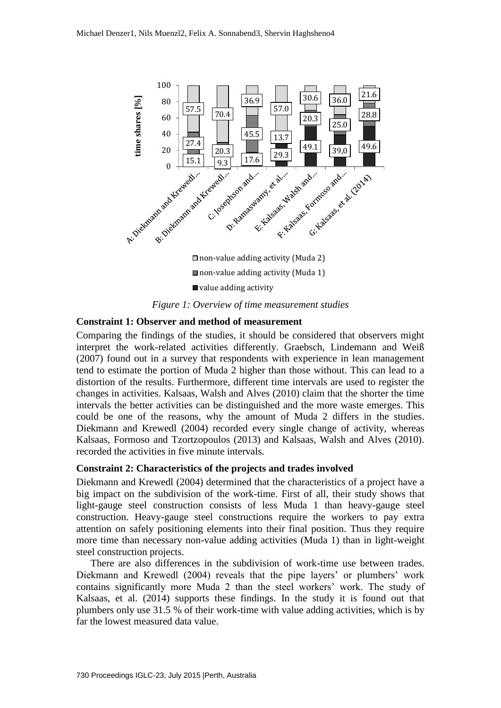

*Figure 1: Overview of time measurement studies*

#### **Constraint 1: Observer and method of measurement**

Comparing the findings of the studies, it should be considered that observers might interpret the work-related activities differently. Graebsch, Lindemann and Weiß (2007) found out in a survey that respondents with experience in lean management tend to estimate the portion of Muda 2 higher than those without. This can lead to a distortion of the results. Furthermore, different time intervals are used to register the changes in activities. Kalsaas, Walsh and Alves (2010) claim that the shorter the time intervals the better activities can be distinguished and the more waste emerges. This could be one of the reasons, why the amount of Muda 2 differs in the studies. Diekmann and Krewedl (2004) recorded every single change of activity, whereas Kalsaas, Formoso and Tzortzopoulos (2013) and Kalsaas, Walsh and Alves (2010). recorded the activities in five minute intervals.

#### **Constraint 2: Characteristics of the projects and trades involved**

Diekmann and Krewedl (2004) determined that the characteristics of a project have a big impact on the subdivision of the work-time. First of all, their study shows that light-gauge steel construction consists of less Muda 1 than heavy-gauge steel construction. Heavy-gauge steel constructions require the workers to pay extra attention on safely positioning elements into their final position. Thus they require more time than necessary non-value adding activities (Muda 1) than in light-weight steel construction projects.

There are also differences in the subdivision of work-time use between trades. Diekmann and Krewedl (2004) reveals that the pipe layers' or plumbers' work contains significantly more Muda 2 than the steel workers' work. The study of Kalsaas, et al. (2014) supports these findings. In the study it is found out that plumbers only use 31.5 % of their work-time with value adding activities, which is by far the lowest measured data value.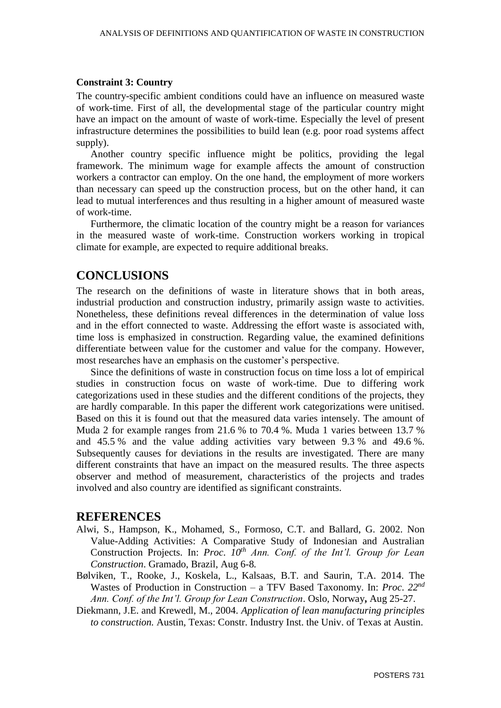#### **Constraint 3: Country**

The country-specific ambient conditions could have an influence on measured waste of work-time. First of all, the developmental stage of the particular country might have an impact on the amount of waste of work-time. Especially the level of present infrastructure determines the possibilities to build lean (e.g. poor road systems affect supply).

Another country specific influence might be politics, providing the legal framework. The minimum wage for example affects the amount of construction workers a contractor can employ. On the one hand, the employment of more workers than necessary can speed up the construction process, but on the other hand, it can lead to mutual interferences and thus resulting in a higher amount of measured waste of work-time.

Furthermore, the climatic location of the country might be a reason for variances in the measured waste of work-time. Construction workers working in tropical climate for example, are expected to require additional breaks.

## **CONCLUSIONS**

The research on the definitions of waste in literature shows that in both areas, industrial production and construction industry, primarily assign waste to activities. Nonetheless, these definitions reveal differences in the determination of value loss and in the effort connected to waste. Addressing the effort waste is associated with, time loss is emphasized in construction. Regarding value, the examined definitions differentiate between value for the customer and value for the company. However, most researches have an emphasis on the customer's perspective.

Since the definitions of waste in construction focus on time loss a lot of empirical studies in construction focus on waste of work-time. Due to differing work categorizations used in these studies and the different conditions of the projects, they are hardly comparable. In this paper the different work categorizations were unitised. Based on this it is found out that the measured data varies intensely. The amount of Muda 2 for example ranges from 21.6 % to 70.4 %. Muda 1 varies between 13.7 % and 45.5 % and the value adding activities vary between 9.3 % and 49.6 %. Subsequently causes for deviations in the results are investigated. There are many different constraints that have an impact on the measured results. The three aspects observer and method of measurement, characteristics of the projects and trades involved and also country are identified as significant constraints.

#### **REFERENCES**

- Alwi, S., Hampson, K., Mohamed, S., Formoso, C.T. and Ballard, G. 2002. Non Value-Adding Activities: A Comparative Study of Indonesian and Australian Construction Projects. In: *Proc*. *10th Ann. Conf. of the Int'l. Group for Lean Construction*. Gramado, Brazil, Aug 6-8*.*
- Bølviken, T., Rooke, J., Koskela, L., Kalsaas, B.T. and Saurin, T.A. 2014. The Wastes of Production in Construction – a TFV Based Taxonomy. In: *Proc*. *22nd Ann. Conf. of the Int'l. Group for Lean Construction*. Oslo, Norway**,** Aug 25-27.
- Diekmann, J.E. and Krewedl, M., 2004. *Application of lean manufacturing principles to construction.* Austin, Texas: Constr. Industry Inst. the Univ. of Texas at Austin.